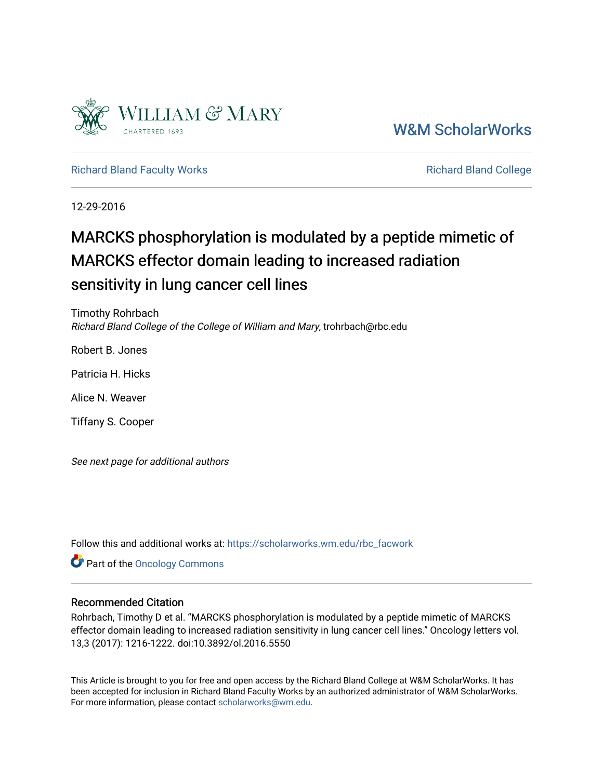

[W&M ScholarWorks](https://scholarworks.wm.edu/) 

[Richard Bland Faculty Works](https://scholarworks.wm.edu/rbc_facwork) **Richard Bland College** Richard Bland College

12-29-2016

# MARCKS phosphorylation is modulated by a peptide mimetic of MARCKS effector domain leading to increased radiation sensitivity in lung cancer cell lines

Timothy Rohrbach Richard Bland College of the College of William and Mary, trohrbach@rbc.edu

Robert B. Jones

Patricia H. Hicks

Alice N. Weaver

Tiffany S. Cooper

See next page for additional authors

Follow this and additional works at: [https://scholarworks.wm.edu/rbc\\_facwork](https://scholarworks.wm.edu/rbc_facwork?utm_source=scholarworks.wm.edu%2Frbc_facwork%2F8&utm_medium=PDF&utm_campaign=PDFCoverPages) 

Part of the [Oncology Commons](http://network.bepress.com/hgg/discipline/694?utm_source=scholarworks.wm.edu%2Frbc_facwork%2F8&utm_medium=PDF&utm_campaign=PDFCoverPages) 

## Recommended Citation

Rohrbach, Timothy D et al. "MARCKS phosphorylation is modulated by a peptide mimetic of MARCKS effector domain leading to increased radiation sensitivity in lung cancer cell lines." Oncology letters vol. 13,3 (2017): 1216-1222. doi:10.3892/ol.2016.5550

This Article is brought to you for free and open access by the Richard Bland College at W&M ScholarWorks. It has been accepted for inclusion in Richard Bland Faculty Works by an authorized administrator of W&M ScholarWorks. For more information, please contact [scholarworks@wm.edu](mailto:scholarworks@wm.edu).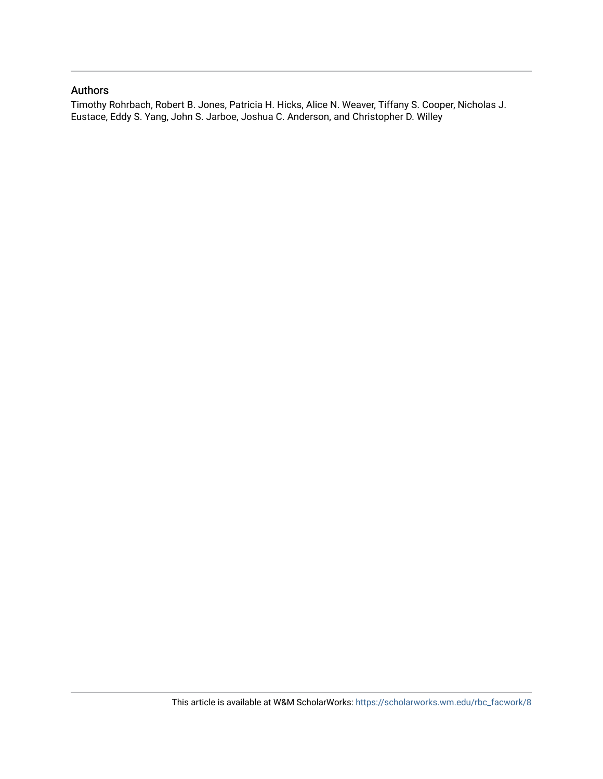## Authors

Timothy Rohrbach, Robert B. Jones, Patricia H. Hicks, Alice N. Weaver, Tiffany S. Cooper, Nicholas J. Eustace, Eddy S. Yang, John S. Jarboe, Joshua C. Anderson, and Christopher D. Willey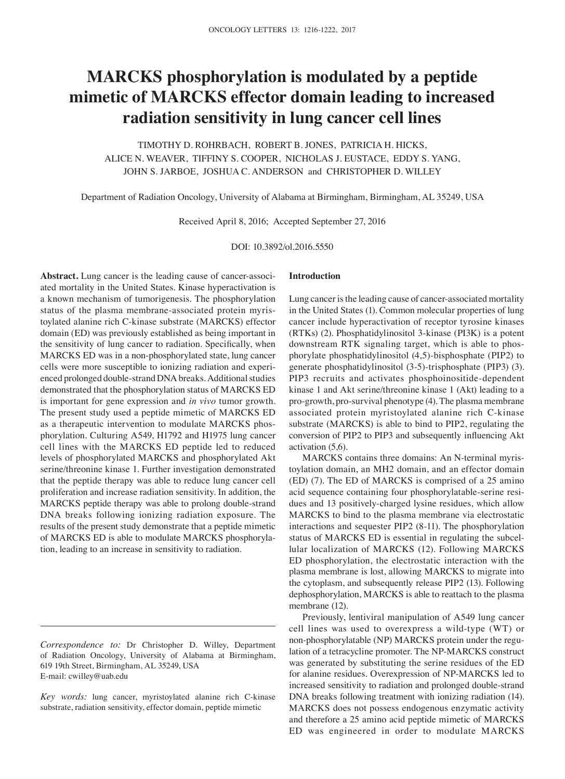## **MARCKS phosphorylation is modulated by a peptide mimetic of MARCKS effector domain leading to increased radiation sensitivity in lung cancer cell lines**

TIMOTHY D. ROHRBACH, ROBERT B. JONES, PATRICIA H. HICKS, ALICE N. WEAVER, TIFFINY S. COOPER, NICHOLAS J. EUSTACE, EDDY S. YANG, JOHN S. JARBOE, JOSHUA C. ANDERSON and CHRISTOPHER D. WILLEY

Department of Radiation Oncology, University of Alabama at Birmingham, Birmingham, AL 35249, USA

Received April 8, 2016; Accepted September 27, 2016

DOI: 10.3892/ol.2016.5550

**Abstract.** Lung cancer is the leading cause of cancer-associated mortality in the United States. Kinase hyperactivation is a known mechanism of tumorigenesis. The phosphorylation status of the plasma membrane-associated protein myristoylated alanine rich C-kinase substrate (MARCKS) effector domain (ED) was previously established as being important in the sensitivity of lung cancer to radiation. Specifically, when MARCKS ED was in a non-phosphorylated state, lung cancer cells were more susceptible to ionizing radiation and experienced prolonged double-strand DNA breaks. Additional studies demonstrated that the phosphorylation status of MARCKS ED is important for gene expression and *in vivo* tumor growth. The present study used a peptide mimetic of MARCKS ED as a therapeutic intervention to modulate MARCKS phosphorylation. Culturing A549, H1792 and H1975 lung cancer cell lines with the MARCKS ED peptide led to reduced levels of phosphorylated MARCKS and phosphorylated Akt serine/threonine kinase 1. Further investigation demonstrated that the peptide therapy was able to reduce lung cancer cell proliferation and increase radiation sensitivity. In addition, the MARCKS peptide therapy was able to prolong double-strand DNA breaks following ionizing radiation exposure. The results of the present study demonstrate that a peptide mimetic of MARCKS ED is able to modulate MARCKS phosphorylation, leading to an increase in sensitivity to radiation.

#### **Introduction**

Lung cancer is the leading cause of cancer-associated mortality in the United States (1). Common molecular properties of lung cancer include hyperactivation of receptor tyrosine kinases (RTKs) (2). Phosphatidylinositol 3-kinase (PI3K) is a potent downstream RTK signaling target, which is able to phosphorylate phosphatidylinositol (4,5)-bisphosphate (PIP2) to generate phosphatidylinositol (3-5)-trisphosphate (PIP3) (3). PIP3 recruits and activates phosphoinositide-dependent kinase 1 and Akt serine/threonine kinase 1 (Akt) leading to a pro-growth, pro-survival phenotype (4). The plasma membrane associated protein myristoylated alanine rich C-kinase substrate (MARCKS) is able to bind to PIP2, regulating the conversion of PIP2 to PIP3 and subsequently influencing Akt activation (5,6).

MARCKS contains three domains: An N-terminal myristoylation domain, an MH2 domain, and an effector domain (ED) (7). The ED of MARCKS is comprised of a 25 amino acid sequence containing four phosphorylatable-serine residues and 13 positively-charged lysine residues, which allow MARCKS to bind to the plasma membrane via electrostatic interactions and sequester PIP2 (8-11). The phosphorylation status of MARCKS ED is essential in regulating the subcellular localization of MARCKS (12). Following MARCKS ED phosphorylation, the electrostatic interaction with the plasma membrane is lost, allowing MARCKS to migrate into the cytoplasm, and subsequently release PIP2 (13). Following dephosphorylation, MARCKS is able to reattach to the plasma membrane (12).

Previously, lentiviral manipulation of A549 lung cancer cell lines was used to overexpress a wild-type (WT) or non-phosphorylatable (NP) MARCKS protein under the regulation of a tetracycline promoter. The NP-MARCKS construct was generated by substituting the serine residues of the ED for alanine residues. Overexpression of NP-MARCKS led to increased sensitivity to radiation and prolonged double-strand DNA breaks following treatment with ionizing radiation (14). MARCKS does not possess endogenous enzymatic activity and therefore a 25 amino acid peptide mimetic of MARCKS ED was engineered in order to modulate MARCKS

*Correspondence to:* Dr Christopher D. Willey, Department of Radiation Oncology, University of Alabama at Birmingham, 619 19th Street, Birmingham, AL 35249, USA E-mail: cwilley@uab.edu

*Key words:* lung cancer, myristoylated alanine rich C-kinase substrate, radiation sensitivity, effector domain, peptide mimetic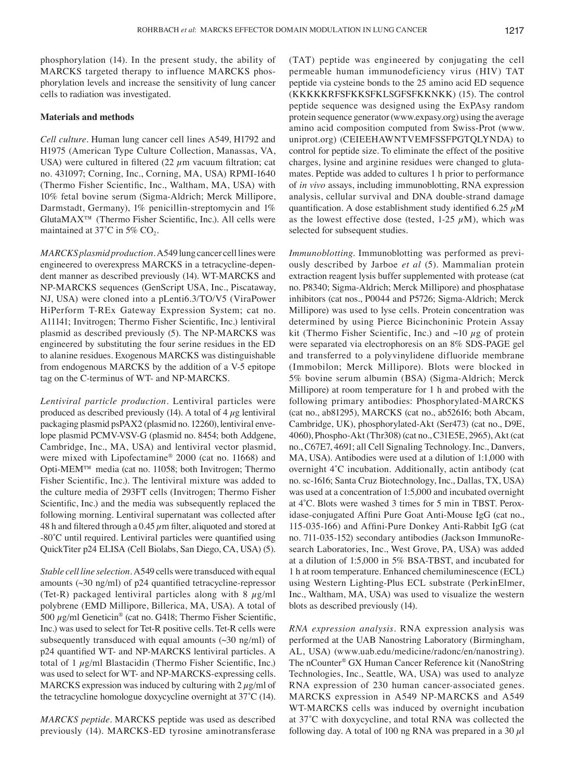phosphorylation (14). In the present study, the ability of MARCKS targeted therapy to influence MARCKS phosphorylation levels and increase the sensitivity of lung cancer cells to radiation was investigated.

#### **Materials and methods**

*Cell culture.* Human lung cancer cell lines A549, H1792 and H1975 (American Type Culture Collection, Manassas, VA, USA) were cultured in filtered  $(22 \mu m)$  vacuum filtration; cat no. 431097; Corning, Inc., Corning, MA, USA) RPMI-1640 (Thermo Fisher Scientific, Inc., Waltham, MA, USA) with 10% fetal bovine serum (Sigma-Aldrich; Merck Millipore, Darmstadt, Germany), 1% penicillin-streptomycin and 1% GlutaMAX™ (Thermo Fisher Scientific, Inc.). All cells were maintained at  $37^{\circ}$ C in 5% CO<sub>2</sub>.

*MARCKS plasmid production.* A549 lung cancer cell lines were engineered to overexpress MARCKS in a tetracycline-dependent manner as described previously (14). WT-MARCKS and NP-MARCKS sequences (GenScript USA, Inc., Piscataway, NJ, USA) were cloned into a pLenti6.3/TO/V5 (ViraPower HiPerform T-REx Gateway Expression System; cat no. A11141; Invitrogen; Thermo Fisher Scientific, Inc.) lentiviral plasmid as described previously (5). The NP-MARCKS was engineered by substituting the four serine residues in the ED to alanine residues. Exogenous MARCKS was distinguishable from endogenous MARCKS by the addition of a V-5 epitope tag on the C-terminus of WT- and NP-MARCKS.

*Lentiviral particle production.* Lentiviral particles were produced as described previously  $(14)$ . A total of 4  $\mu$ g lentiviral packaging plasmid psPAX2 (plasmid no. 12260), lentiviral envelope plasmid PCMV-VSV-G (plasmid no. 8454; both Addgene, Cambridge, Inc., MA, USA) and lentiviral vector plasmid, were mixed with Lipofectamine® 2000 (cat no. 11668) and Opti-MEM™ media (cat no. 11058; both Invitrogen; Thermo Fisher Scientific, Inc.). The lentiviral mixture was added to the culture media of 293FT cells (Invitrogen; Thermo Fisher Scientific, Inc.) and the media was subsequently replaced the following morning. Lentiviral supernatant was collected after 48 h and filtered through a 0.45  $\mu$ m filter, aliquoted and stored at ‑80˚C until required. Lentiviral particles were quantified using QuickTiter p24 ELISA (Cell Biolabs, San Diego, CA, USA) (5).

*Stable cell line selection.* A549 cells were transduced with equal amounts  $(\sim 30 \text{ ng/ml})$  of p24 quantified tetracycline–repressor (Tet-R) packaged lentiviral particles along with 8  $\mu$ g/ml polybrene (EMD Millipore, Billerica, MA, USA). A total of 500  $\mu$ g/ml Geneticin<sup>®</sup> (cat no. G418; Thermo Fisher Scientific, Inc.) was used to select for Tet-R positive cells. Tet-R cells were subsequently transduced with equal amounts  $(\sim 30 \text{ ng/ml})$  of p24 quantified WT‑ and NP‑MARCKS lentiviral particles. A total of  $1 \mu g/ml$  Blastacidin (Thermo Fisher Scientific, Inc.) was used to select for WT- and NP-MARCKS-expressing cells. MARCKS expression was induced by culturing with  $2 \mu g/ml$  of the tetracycline homologue doxycycline overnight at 37˚C (14).

*MARCKS peptide.* MARCKS peptide was used as described previously (14). MARCKS-ED tyrosine aminotransferase (TAT) peptide was engineered by conjugating the cell permeable human immunodeficiency virus (HIV) TAT peptide via cysteine bonds to the 25 amino acid ED sequence (KKKKKRFSFKKSFKLSGFSFKKNKK) (15). The control peptide sequence was designed using the ExPAsy random protein sequence generator (www.expasy.org) using the average amino acid composition computed from Swiss-Prot (www. uniprot.org) (CEIEEHAWNTVEMFSSFPGTQLYNDA) to control for peptide size. To eliminate the effect of the positive charges, lysine and arginine residues were changed to glutamates. Peptide was added to cultures 1 h prior to performance of *in vivo* assays, including immunoblotting, RNA expression analysis, cellular survival and DNA double-strand damage quantification. A dose establishment study identified 6.25  $\mu$ M as the lowest effective dose (tested,  $1-25 \mu M$ ), which was selected for subsequent studies.

*Immunoblotting.* Immunoblotting was performed as previously described by Jarboe *et al* (5). Mammalian protein extraction reagent lysis buffer supplemented with protease (cat no. P8340; Sigma-Aldrich; Merck Millipore) and phosphatase inhibitors (cat nos., P0044 and P5726; Sigma-Aldrich; Merck Millipore) was used to lyse cells. Protein concentration was determined by using Pierce Bicinchoninic Protein Assay kit (Thermo Fisher Scientific, Inc.) and  $\sim$ 10  $\mu$ g of protein were separated via electrophoresis on an 8% SDS-PAGE gel and transferred to a polyvinylidene difluoride membrane (Immobilon; Merck Millipore). Blots were blocked in 5% bovine serum albumin (BSA) (Sigma-Aldrich; Merck Millipore) at room temperature for 1 h and probed with the following primary antibodies: Phosphorylated-MARCKS (cat no., ab81295), MARCKS (cat no., ab52616; both Abcam, Cambridge, UK), phosphorylated-Akt (Ser473) (cat no., D9E, 4060), Phospho-Akt (Thr308) (cat no., C31E5E, 2965), Akt (cat no., C67E7, 4691; all Cell Signaling Technology. Inc., Danvers, MA, USA). Antibodies were used at a dilution of 1:1,000 with overnight 4˚C incubation. Additionally, actin antibody (cat no. sc-1616; Santa Cruz Biotechnology, Inc., Dallas, TX, USA) was used at a concentration of 1:5,000 and incubated overnight at 4˚C. Blots were washed 3 times for 5 min in TBST. Peroxidase‑conjugated Affini Pure Goat Anti‑Mouse IgG (cat no., 115‑035‑166) and Affini‑Pure Donkey Anti‑Rabbit IgG (cat no. 711-035-152) secondary antibodies (Jackson ImmunoResearch Laboratories, Inc., West Grove, PA, USA) was added at a dilution of 1:5,000 in 5% BSA-TBST, and incubated for 1 h at room temperature. Enhanced chemiluminescence (ECL) using Western Lighting-Plus ECL substrate (PerkinElmer, Inc., Waltham, MA, USA) was used to visualize the western blots as described previously (14).

*RNA expression analysis.* RNA expression analysis was performed at the UAB Nanostring Laboratory (Birmingham, AL, USA) (www.uab.edu/medicine/radonc/en/nanostring). The nCounter® GX Human Cancer Reference kit (NanoString Technologies, Inc., Seattle, WA, USA) was used to analyze RNA expression of 230 human cancer-associated genes. MARCKS expression in A549 NP-MARCKS and A549 WT-MARCKS cells was induced by overnight incubation at 37˚C with doxycycline, and total RNA was collected the following day. A total of 100 ng RNA was prepared in a 30  $\mu$ l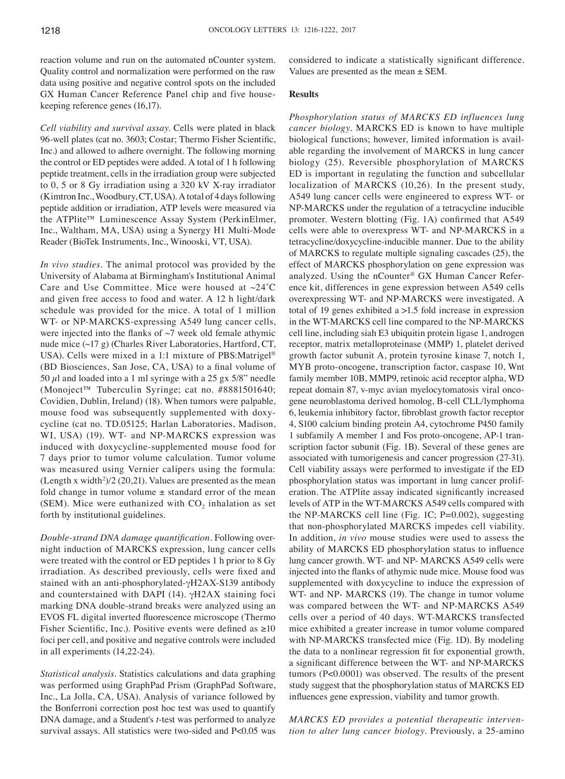reaction volume and run on the automated nCounter system. Quality control and normalization were performed on the raw data using positive and negative control spots on the included GX Human Cancer Reference Panel chip and five housekeeping reference genes (16,17).

*Cell viability and survival assay.* Cells were plated in black 96‑well plates (cat no. 3603; Costar; Thermo Fisher Scientific, Inc.) and allowed to adhere overnight. The following morning the control or ED peptides were added. A total of 1 h following peptide treatment, cells in the irradiation group were subjected to 0, 5 or 8 Gy irradiation using a 320 kV X-ray irradiator (Kimtron Inc., Woodbury, CT, USA). A total of 4 days following peptide addition or irradiation, ATP levels were measured via the ATPlite™ Luminescence Assay System (PerkinElmer, Inc., Waltham, MA, USA) using a Synergy H1 Multi-Mode Reader (BioTek Instruments, Inc., Winooski, VT, USA).

*In vivo studies.* The animal protocol was provided by the University of Alabama at Birmingham's Institutional Animal Care and Use Committee. Mice were housed at  $\sim$ 24°C and given free access to food and water. A 12 h light/dark schedule was provided for the mice. A total of 1 million WT- or NP-MARCKS-expressing A549 lung cancer cells, were injected into the flanks of  $\sim$ 7 week old female athymic nude mice (~17 g) (Charles River Laboratories, Hartford, CT, USA). Cells were mixed in a 1:1 mixture of PBS:Matrigel® (BD Biosciences, San Jose, CA, USA) to a final volume of 50  $\mu$ l and loaded into a 1 ml syringe with a 25 gx 5/8" needle (Monoject™ Tuberculin Syringe; cat no. #8881501640; Covidien, Dublin, Ireland) (18). When tumors were palpable, mouse food was subsequently supplemented with doxycycline (cat no. TD.05125; Harlan Laboratories, Madison, WI, USA) (19). WT- and NP-MARCKS expression was induced with doxycycline-supplemented mouse food for 7 days prior to tumor volume calculation. Tumor volume was measured using Vernier calipers using the formula: (Length x width<sup>2</sup>)/2 (20,21). Values are presented as the mean fold change in tumor volume  $\pm$  standard error of the mean (SEM). Mice were euthanized with  $CO<sub>2</sub>$  inhalation as set forth by institutional guidelines.

*Double‑strand DNA damage quantification.* Following overnight induction of MARCKS expression, lung cancer cells were treated with the control or ED peptides 1 h prior to 8 Gy irradiation. As described previously, cells were fixed and stained with an anti-phosphorylated-γH2AX-S139 antibody and counterstained with DAPI (14).  $\gamma$ H2AX staining foci marking DNA double-strand breaks were analyzed using an EVOS FL digital inverted fluorescence microscope (Thermo Fisher Scientific, Inc.). Positive events were defined as  $\geq 10$ foci per cell, and positive and negative controls were included in all experiments (14,22-24).

*Statistical analysis.* Statistics calculations and data graphing was performed using GraphPad Prism (GraphPad Software, Inc., La Jolla, CA, USA). Analysis of variance followed by the Bonferroni correction post hoc test was used to quantify DNA damage, and a Student's *t*-test was performed to analyze survival assays. All statistics were two-sided and P<0.05 was considered to indicate a statistically significant difference. Values are presented as the mean  $\pm$  SEM.

#### **Results**

*Phosphorylation status of MARCKS ED influences lung cancer biology.* MARCKS ED is known to have multiple biological functions; however, limited information is available regarding the involvement of MARCKS in lung cancer biology (25). Reversible phosphorylation of MARCKS ED is important in regulating the function and subcellular localization of MARCKS (10,26). In the present study, A549 lung cancer cells were engineered to express WT- or NP-MARCKS under the regulation of a tetracycline inducible promoter. Western blotting (Fig. 1A) confirmed that A549 cells were able to overexpress WT- and NP-MARCKS in a tetracycline/doxycycline-inducible manner. Due to the ability of MARCKS to regulate multiple signaling cascades (25), the effect of MARCKS phosphorylation on gene expression was analyzed. Using the nCounter® GX Human Cancer Reference kit, differences in gene expression between A549 cells overexpressing WT- and NP-MARCKS were investigated. A total of 19 genes exhibited a >1.5 fold increase in expression in the WT-MARCKS cell line compared to the NP-MARCKS cell line, including siah E3 ubiquitin protein ligase 1, androgen receptor, matrix metalloproteinase (MMP) 1, platelet derived growth factor subunit A, protein tyrosine kinase 7, notch 1, MYB proto-oncogene, transcription factor, caspase 10, Wnt family member 10B, MMP9, retinoic acid receptor alpha, WD repeat domain 87, v-myc avian myelocytomatosis viral oncogene neuroblastoma derived homolog, B-cell CLL/lymphoma 6, leukemia inhibitory factor, fibroblast growth factor receptor 4, S100 calcium binding protein A4, cytochrome P450 family 1 subfamily A member 1 and Fos proto-oncogene, AP-1 transcription factor subunit (Fig. 1B)*.* Several of these genes are associated with tumorigenesis and cancer progression (27-31). Cell viability assays were performed to investigate if the ED phosphorylation status was important in lung cancer proliferation. The ATPlite assay indicated significantly increased levels of ATP in the WT-MARCKS A549 cells compared with the NP-MARCKS cell line (Fig. 1C; P=0.002), suggesting that non-phosphorylated MARCKS impedes cell viability. In addition, *in vivo* mouse studies were used to assess the ability of MARCKS ED phosphorylation status to influence lung cancer growth. WT- and NP- MARCKS A549 cells were injected into the flanks of athymic nude mice. Mouse food was supplemented with doxycycline to induce the expression of WT- and NP- MARCKS (19). The change in tumor volume was compared between the WT- and NP-MARCKS A549 cells over a period of 40 days. WT-MARCKS transfected mice exhibited a greater increase in tumor volume compared with NP-MARCKS transfected mice (Fig. 1D). By modeling the data to a nonlinear regression fit for exponential growth, a significant difference between the WT‑ and NP‑MARCKS tumors (P<0.0001) was observed. The results of the present study suggest that the phosphorylation status of MARCKS ED influences gene expression, viability and tumor growth.

*MARCKS ED provides a potential therapeutic intervention to alter lung cancer biology.* Previously, a 25-amino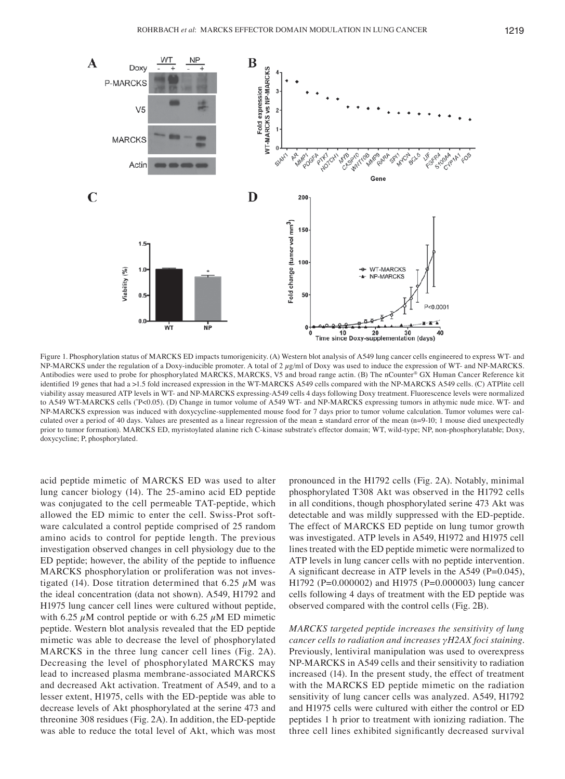

Figure 1. Phosphorylation status of MARCKS ED impacts tumorigenicity. (A) Western blot analysis of A549 lung cancer cells engineered to express WT- and NP-MARCKS under the regulation of a Doxy-inducible promoter. A total of 2  $\mu$ g/ml of Doxy was used to induce the expression of WT- and NP-MARCKS. Antibodies were used to probe for phosphorylated MARCKS, MARCKS, V5 and broad range actin. (B) The nCounter® GX Human Cancer Reference kit identified 19 genes that had a >1.5 fold increased expression in the WT-MARCKS A549 cells compared with the NP-MARCKS A549 cells. (C) ATPlite cell viability assay measured ATP levels in WT- and NP-MARCKS expressing-A549 cells 4 days following Doxy treatment. Fluorescence levels were normalized to A549 WT-MARCKS cells (\* P<0.05). (D) Change in tumor volume of A549 WT- and NP-MARCKS expressing tumors in athymic nude mice. WT- and NP-MARCKS expression was induced with doxycycline-supplemented mouse food for 7 days prior to tumor volume calculation. Tumor volumes were calculated over a period of 40 days. Values are presented as a linear regression of the mean  $\pm$  standard error of the mean (n=9-10; 1 mouse died unexpectedly prior to tumor formation). MARCKS ED, myristoylated alanine rich C-kinase substrate's effector domain; WT, wild-type; NP, non-phosphorylatable; Doxy, doxycycline; P, phosphorylated.

acid peptide mimetic of MARCKS ED was used to alter lung cancer biology (14). The 25-amino acid ED peptide was conjugated to the cell permeable TAT-peptide, which allowed the ED mimic to enter the cell. Swiss-Prot software calculated a control peptide comprised of 25 random amino acids to control for peptide length. The previous investigation observed changes in cell physiology due to the ED peptide; however, the ability of the peptide to influence MARCKS phosphorylation or proliferation was not investigated (14). Dose titration determined that 6.25  $\mu$ M was the ideal concentration (data not shown). A549, H1792 and H1975 lung cancer cell lines were cultured without peptide, with 6.25  $\mu$ M control peptide or with 6.25  $\mu$ M ED mimetic peptide. Western blot analysis revealed that the ED peptide mimetic was able to decrease the level of phosphorylated MARCKS in the three lung cancer cell lines (Fig. 2A). Decreasing the level of phosphorylated MARCKS may lead to increased plasma membrane-associated MARCKS and decreased Akt activation. Treatment of A549, and to a lesser extent, H1975, cells with the ED-peptide was able to decrease levels of Akt phosphorylated at the serine 473 and threonine 308 residues (Fig. 2A). In addition, the ED-peptide was able to reduce the total level of Akt, which was most

pronounced in the H1792 cells (Fig. 2A). Notably, minimal phosphorylated T308 Akt was observed in the H1792 cells in all conditions, though phosphorylated serine 473 Akt was detectable and was mildly suppressed with the ED-peptide. The effect of MARCKS ED peptide on lung tumor growth was investigated. ATP levels in A549, H1972 and H1975 cell lines treated with the ED peptide mimetic were normalized to ATP levels in lung cancer cells with no peptide intervention. A significant decrease in ATP levels in the A549 (P=0.045), H1792 (P=0.000002) and H1975 (P=0.000003) lung cancer cells following 4 days of treatment with the ED peptide was observed compared with the control cells (Fig. 2B).

*MARCKS targeted peptide increases the sensitivity of lung cancer cells to radiation and increases γH2AX foci staining.*  Previously, lentiviral manipulation was used to overexpress NP-MARCKS in A549 cells and their sensitivity to radiation increased (14). In the present study, the effect of treatment with the MARCKS ED peptide mimetic on the radiation sensitivity of lung cancer cells was analyzed. A549, H1792 and H1975 cells were cultured with either the control or ED peptides 1 h prior to treatment with ionizing radiation. The three cell lines exhibited significantly decreased survival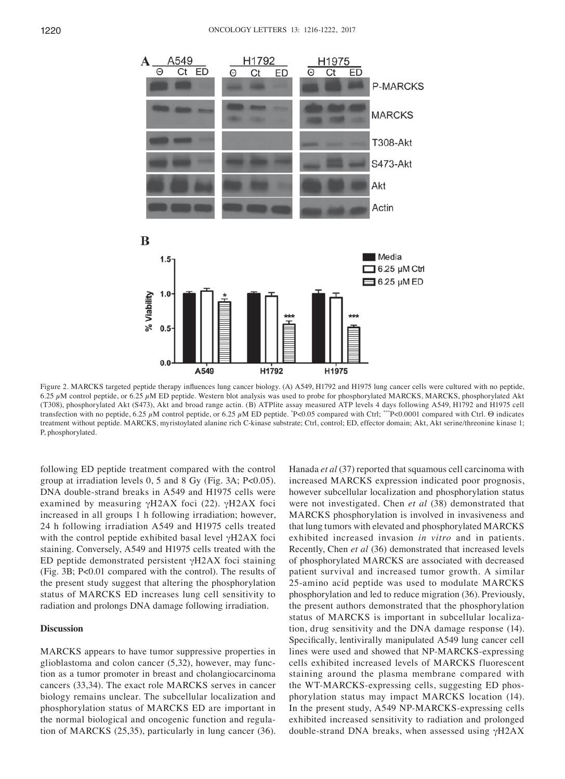

Figure 2. MARCKS targeted peptide therapy influences lung cancer biology. (A) A549, H1792 and H1975 lung cancer cells were cultured with no peptide, 6.25 µM control peptide, or 6.25 µM ED peptide. Western blot analysis was used to probe for phosphorylated MARCKS, MARCKS, phosphorylated Akt (T308), phosphorylated Akt (S473), Akt and broad range actin. (B) ATPlite assay measured ATP levels 4 days following A549, H1792 and H1975 cell transfection with no peptide, 6.25 μM control peptide, or 6.25 μM ED peptide. \*P<0.05 compared with Ctrl; \*\*\*P<0.0001 compared with Ctrl.  $\Theta$  indicates treatment without peptide. MARCKS, myristoylated alanine rich C-kinase substrate; Ctrl, control; ED, effector domain; Akt, Akt serine/threonine kinase 1; P, phosphorylated.

following ED peptide treatment compared with the control group at irradiation levels 0, 5 and 8 Gy (Fig. 3A; P<0.05). DNA double-strand breaks in A549 and H1975 cells were examined by measuring γH2AX foci (22). γH2AX foci increased in all groups 1 h following irradiation; however, 24 h following irradiation A549 and H1975 cells treated with the control peptide exhibited basal level γH2AX foci staining. Conversely, A549 and H1975 cells treated with the ED peptide demonstrated persistent γH2AX foci staining (Fig. 3B; P<0.01 compared with the control). The results of the present study suggest that altering the phosphorylation status of MARCKS ED increases lung cell sensitivity to radiation and prolongs DNA damage following irradiation.

#### **Discussion**

MARCKS appears to have tumor suppressive properties in glioblastoma and colon cancer (5,32), however, may function as a tumor promoter in breast and cholangiocarcinoma cancers (33,34). The exact role MARCKS serves in cancer biology remains unclear. The subcellular localization and phosphorylation status of MARCKS ED are important in the normal biological and oncogenic function and regulation of MARCKS (25,35), particularly in lung cancer (36). Hanada *et al* (37) reported that squamous cell carcinoma with increased MARCKS expression indicated poor prognosis, however subcellular localization and phosphorylation status were not investigated. Chen *et al* (38) demonstrated that MARCKS phosphorylation is involved in invasiveness and that lung tumors with elevated and phosphorylated MARCKS exhibited increased invasion *in vitro* and in patients. Recently, Chen *et al* (36) demonstrated that increased levels of phosphorylated MARCKS are associated with decreased patient survival and increased tumor growth. A similar 25-amino acid peptide was used to modulate MARCKS phosphorylation and led to reduce migration (36). Previously, the present authors demonstrated that the phosphorylation status of MARCKS is important in subcellular localization, drug sensitivity and the DNA damage response (14). Specifically, lentivirally manipulated A549 lung cancer cell lines were used and showed that NP-MARCKS-expressing cells exhibited increased levels of MARCKS fluorescent staining around the plasma membrane compared with the WT-MARCKS-expressing cells, suggesting ED phosphorylation status may impact MARCKS location (14). In the present study, A549 NP-MARCKS-expressing cells exhibited increased sensitivity to radiation and prolonged double-strand DNA breaks, when assessed using  $γH2AX$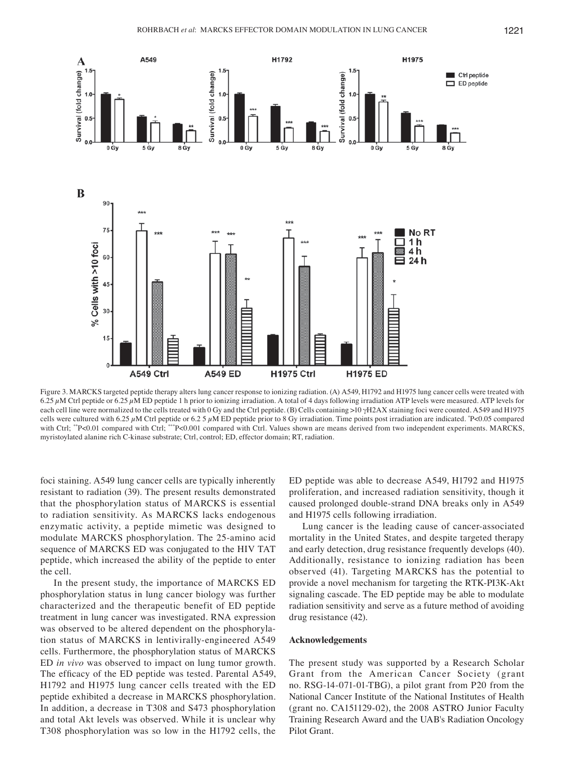

Figure 3. MARCKS targeted peptide therapy alters lung cancer response to ionizing radiation. (A) A549, H1792 and H1975 lung cancer cells were treated with 6.25  $\mu$ M Ctrl peptide or 6.25  $\mu$ M ED peptide 1 h prior to ionizing irradiation. A total of 4 days following irradiation ATP levels were measured. ATP levels for each cell line were normalized to the cells treated with 0 Gy and the Ctrl peptide. (B) Cells containing >10 γH2AX staining foci were counted. A549 and H1975 cells were cultured with 6.25  $\mu$ M Ctrl peptide or 6.2 5  $\mu$ M ED peptide prior to 8 Gy irradiation. Time points post irradiation are indicated. \*P<0.05 compared with Ctrl; \*\*P<0.01 compared with Ctrl; \*\*\*P<0.001 compared with Ctrl. Values shown are means derived from two independent experiments. MARCKS, myristoylated alanine rich C-kinase substrate; Ctrl, control; ED, effector domain; RT, radiation.

foci staining. A549 lung cancer cells are typically inherently resistant to radiation (39). The present results demonstrated that the phosphorylation status of MARCKS is essential to radiation sensitivity. As MARCKS lacks endogenous enzymatic activity, a peptide mimetic was designed to modulate MARCKS phosphorylation. The 25-amino acid sequence of MARCKS ED was conjugated to the HIV TAT peptide, which increased the ability of the peptide to enter the cell.

In the present study, the importance of MARCKS ED phosphorylation status in lung cancer biology was further characterized and the therapeutic benefit of ED peptide treatment in lung cancer was investigated. RNA expression was observed to be altered dependent on the phosphorylation status of MARCKS in lentivirally-engineered A549 cells. Furthermore, the phosphorylation status of MARCKS ED *in vivo* was observed to impact on lung tumor growth. The efficacy of the ED peptide was tested. Parental A549, H1792 and H1975 lung cancer cells treated with the ED peptide exhibited a decrease in MARCKS phosphorylation. In addition, a decrease in T308 and S473 phosphorylation and total Akt levels was observed. While it is unclear why T308 phosphorylation was so low in the H1792 cells, the ED peptide was able to decrease A549, H1792 and H1975 proliferation, and increased radiation sensitivity, though it caused prolonged double-strand DNA breaks only in A549 and H1975 cells following irradiation.

Lung cancer is the leading cause of cancer-associated mortality in the United States, and despite targeted therapy and early detection, drug resistance frequently develops (40). Additionally, resistance to ionizing radiation has been observed (41). Targeting MARCKS has the potential to provide a novel mechanism for targeting the RTK-PI3K-Akt signaling cascade. The ED peptide may be able to modulate radiation sensitivity and serve as a future method of avoiding drug resistance (42).

#### **Acknowledgements**

The present study was supported by a Research Scholar Grant from the American Cancer Society (grant no. RSG-14-071-01-TBG), a pilot grant from P20 from the National Cancer Institute of the National Institutes of Health (grant no. CA151129-02), the 2008 ASTRO Junior Faculty Training Research Award and the UAB's Radiation Oncology Pilot Grant.